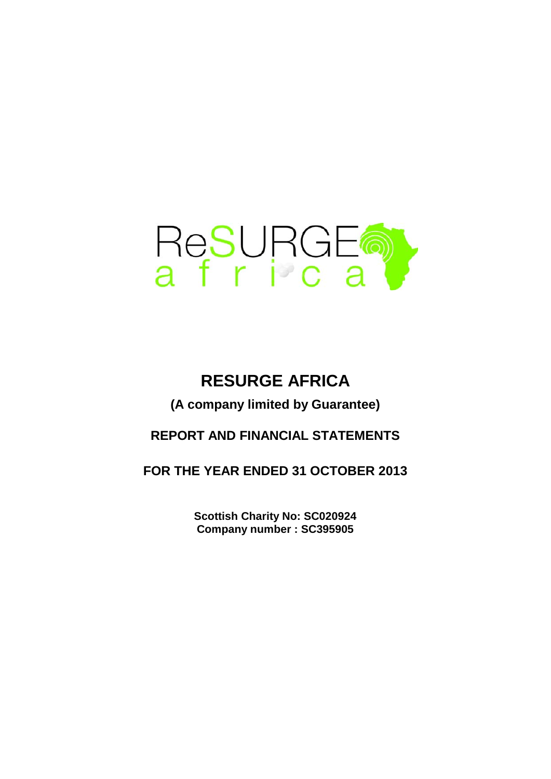

# **RESURGE AFRICA**

**(A company limited by Guarantee)**

# **REPORT AND FINANCIAL STATEMENTS**

**FOR THE YEAR ENDED 31 OCTOBER 2013**

**Company number : SC395905 Scottish Charity No: SC020924**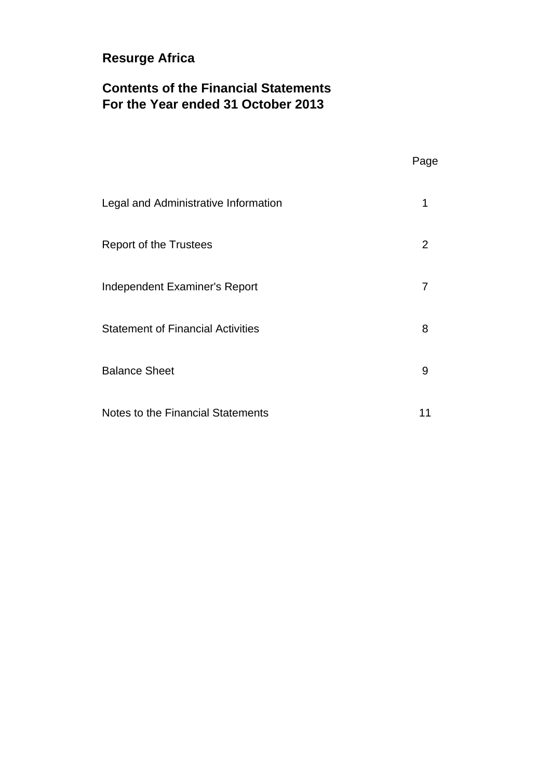# **Contents of the Financial Statements For the Year ended 31 October 2013**

|                                          | Page |
|------------------------------------------|------|
| Legal and Administrative Information     | 1    |
| <b>Report of the Trustees</b>            | 2    |
| Independent Examiner's Report            | 7    |
| <b>Statement of Financial Activities</b> | 8    |
| <b>Balance Sheet</b>                     | 9    |
| Notes to the Financial Statements        | 11   |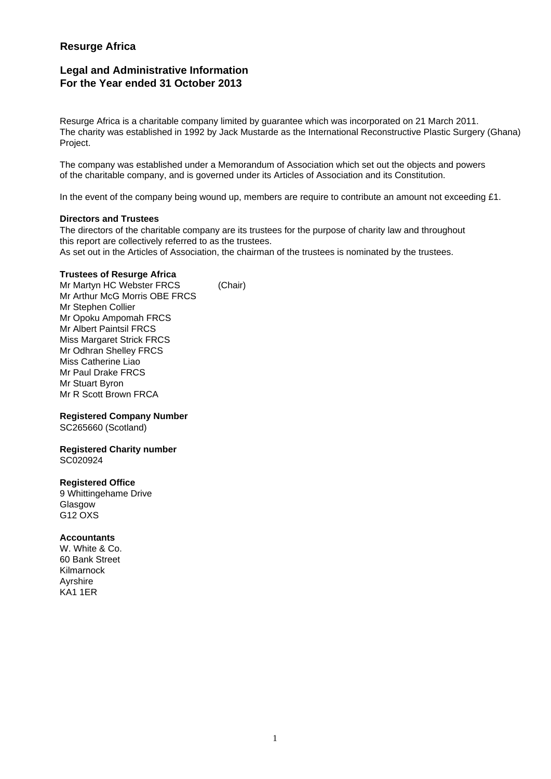## **Legal and Administrative Information For the Year ended 31 October 2013**

Resurge Africa is a charitable company limited by guarantee which was incorporated on 21 March 2011. The charity was established in 1992 by Jack Mustarde as the International Reconstructive Plastic Surgery (Ghana) Project.

The company was established under a Memorandum of Association which set out the objects and powers of the charitable company, and is governed under its Articles of Association and its Constitution.

In the event of the company being wound up, members are require to contribute an amount not exceeding £1.

### **Directors and Trustees**

The directors of the charitable company are its trustees for the purpose of charity law and throughout this report are collectively referred to as the trustees. As set out in the Articles of Association, the chairman of the trustees is nominated by the trustees.

### **Trustees of Resurge Africa**

Mr Martyn HC Webster FRCS (Chair) Mr Arthur McG Morris OBE FRCS Mr Stephen Collier Mr Opoku Ampomah FRCS Mr Albert Paintsil FRCS Miss Margaret Strick FRCS Mr Odhran Shelley FRCS Miss Catherine Liao Mr Paul Drake FRCS Mr Stuart Byron Mr R Scott Brown FRCA

### **Registered Company Number**

SC265660 (Scotland)

**Registered Charity number** SC020924

### **Registered Office**

9 Whittingehame Drive Glasgow G12 OXS

### **Accountants**

W. White & Co. 60 Bank Street Kilmarnock Ayrshire KA1 1ER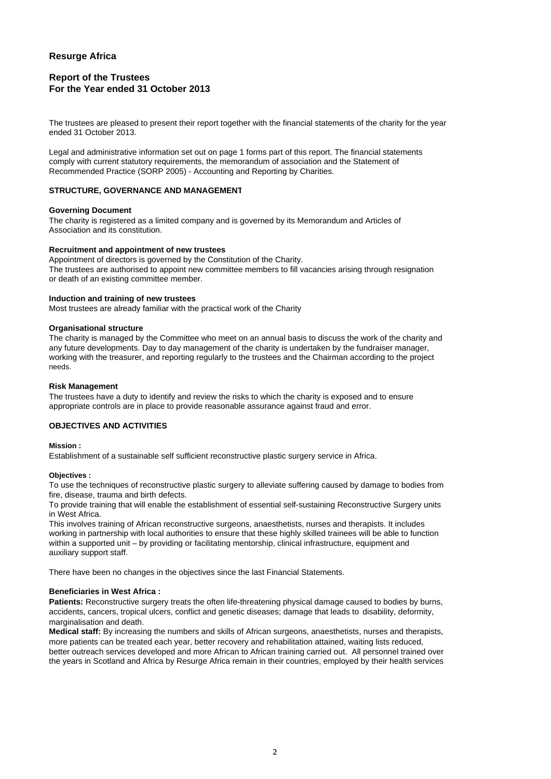### **Report of the Trustees For the Year ended 31 October 2013**

The trustees are pleased to present their report together with the financial statements of the charity for the year ended 31 October 2013.

Legal and administrative information set out on page 1 forms part of this report. The financial statements comply with current statutory requirements, the memorandum of association and the Statement of Recommended Practice (SORP 2005) - Accounting and Reporting by Charities.

#### **STRUCTURE, GOVERNANCE AND MANAGEMENT**

#### **Governing Document**

The charity is registered as a limited company and is governed by its Memorandum and Articles of Association and its constitution.

#### **Recruitment and appointment of new trustees**

Appointment of directors is governed by the Constitution of the Charity. The trustees are authorised to appoint new committee members to fill vacancies arising through resignation or death of an existing committee member.

#### **Induction and training of new trustees**

Most trustees are already familiar with the practical work of the Charity

#### **Organisational structure**

The charity is managed by the Committee who meet on an annual basis to discuss the work of the charity and any future developments. Day to day management of the charity is undertaken by the fundraiser manager, working with the treasurer, and reporting regularly to the trustees and the Chairman according to the project needs.

#### **Risk Management**

The trustees have a duty to identify and review the risks to which the charity is exposed and to ensure appropriate controls are in place to provide reasonable assurance against fraud and error.

#### **OBJECTIVES AND ACTIVITIES**

#### **Mission :**

Establishment of a sustainable self sufficient reconstructive plastic surgery service in Africa.

#### **Objectives :**

To use the techniques of reconstructive plastic surgery to alleviate suffering caused by damage to bodies from fire, disease, trauma and birth defects.

To provide training that will enable the establishment of essential self-sustaining Reconstructive Surgery units in West Africa.

This involves training of African reconstructive surgeons, anaesthetists, nurses and therapists. It includes working in partnership with local authorities to ensure that these highly skilled trainees will be able to function within a supported unit – by providing or facilitating mentorship, clinical infrastructure, equipment and auxiliary support staff.

There have been no changes in the objectives since the last Financial Statements.

#### **Beneficiaries in West Africa :**

**Patients:** Reconstructive surgery treats the often life-threatening physical damage caused to bodies by burns, accidents, cancers, tropical ulcers, conflict and genetic diseases; damage that leads to disability, deformity, marginalisation and death.

**Medical staff:** By increasing the numbers and skills of African surgeons, anaesthetists, nurses and therapists, more patients can be treated each year, better recovery and rehabilitation attained, waiting lists reduced, better outreach services developed and more African to African training carried out. All personnel trained over the years in Scotland and Africa by Resurge Africa remain in their countries, employed by their health services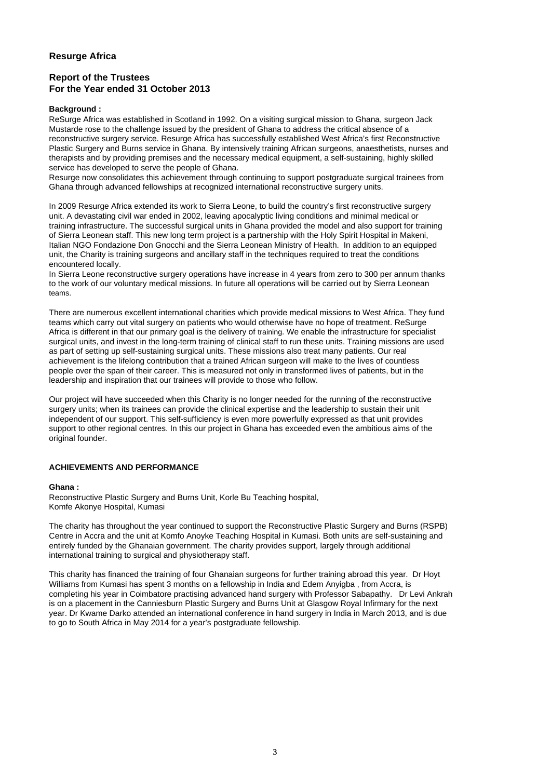### **Report of the Trustees For the Year ended 31 October 2013**

#### **Background :**

ReSurge Africa was established in Scotland in 1992. On a visiting surgical mission to Ghana, surgeon Jack Mustarde rose to the challenge issued by the president of Ghana to address the critical absence of a reconstructive surgery service. Resurge Africa has successfully established West Africa's first Reconstructive Plastic Surgery and Burns service in Ghana. By intensively training African surgeons, anaesthetists, nurses and therapists and by providing premises and the necessary medical equipment, a self-sustaining, highly skilled service has developed to serve the people of Ghana.

Resurge now consolidates this achievement through continuing to support postgraduate surgical trainees from Ghana through advanced fellowships at recognized international reconstructive surgery units.

In 2009 Resurge Africa extended its work to Sierra Leone, to build the country's first reconstructive surgery unit. A devastating civil war ended in 2002, leaving apocalyptic living conditions and minimal medical or training infrastructure. The successful surgical units in Ghana provided the model and also support for training of Sierra Leonean staff. This new long term project is a partnership with the Holy Spirit Hospital in Makeni, Italian NGO Fondazione Don Gnocchi and the Sierra Leonean Ministry of Health. In addition to an equipped unit, the Charity is training surgeons and ancillary staff in the techniques required to treat the conditions encountered locally.

In Sierra Leone reconstructive surgery operations have increase in 4 years from zero to 300 per annum thanks to the work of our voluntary medical missions. In future all operations will be carried out by Sierra Leonean teams.

There are numerous excellent international charities which provide medical missions to West Africa. They fund teams which carry out vital surgery on patients who would otherwise have no hope of treatment. ReSurge Africa is different in that our primary goal is the delivery of training. We enable the infrastructure for specialist surgical units, and invest in the long-term training of clinical staff to run these units. Training missions are used as part of setting up self-sustaining surgical units. These missions also treat many patients. Our real achievement is the lifelong contribution that a trained African surgeon will make to the lives of countless people over the span of their career. This is measured not only in transformed lives of patients, but in the leadership and inspiration that our trainees will provide to those who follow.

Our project will have succeeded when this Charity is no longer needed for the running of the reconstructive Our project will have succeeded when this Charity is no longer needed for the running of the reconstructive surgery units; when its trainees can provide the clinical expertise and the leadership to sustain their unit independent of our support. This self-sufficiency is even more powerfully expressed as that unit provides support to other regional centres. In this our project in Ghana has exceeded even the ambitious aims of the original founder.

#### **ACHIEVEMENTS AND PERFORMANCE**

#### **Ghana :**

Reconstructive Plastic Surgery and Burns Unit, Korle Bu Teaching hospital, Komfe Akonye Hospital, Kumasi

The charity has throughout the year continued to support the Reconstructive Plastic Surgery and Burns (RSPB) Centre in Accra and the unit at Komfo Anoyke Teaching Hospital in Kumasi. Both units are self-sustaining and entirely funded by the Ghanaian government. The charity provides support, largely through additional international training to surgical and physiotherapy staff.

This charity has financed the training of four Ghanaian surgeons for further training abroad this year. Dr Hoyt Williams from Kumasi has spent 3 months on a fellowship in India and Edem Anyigba , from Accra, is completing his year in Coimbatore practising advanced hand surgery with Professor Sabapathy. Dr Levi Ankrah is on a placement in the Canniesburn Plastic Surgery and Burns Unit at Glasgow Royal Infirmary for the next year. Dr Kwame Darko attended an international conference in hand surgery in India in March 2013, and is due to go to South Africa in May 2014 for a year's postgraduate fellowship.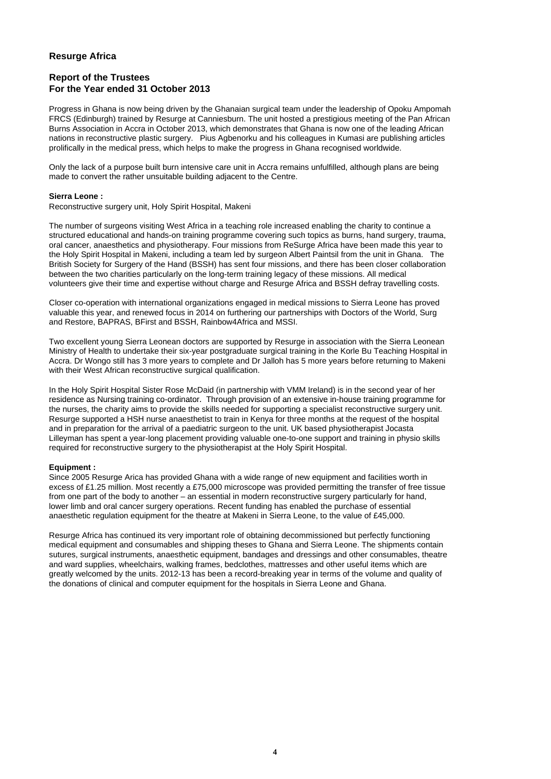### **Report of the Trustees For the Year ended 31 October 2013**

Progress in Ghana is now being driven by the Ghanaian surgical team under the leadership of Opoku Ampomah FRCS (Edinburgh) trained by Resurge at Canniesburn. The unit hosted a prestigious meeting of the Pan African Burns Association in Accra in October 2013, which demonstrates that Ghana is now one of the leading African nations in reconstructive plastic surgery. Pius Agbenorku and his colleagues in Kumasi are publishing articles prolifically in the medical press, which helps to make the progress in Ghana recognised worldwide.

Only the lack of a purpose built burn intensive care unit in Accra remains unfulfilled, although plans are being made to convert the rather unsuitable building adjacent to the Centre.

#### **Sierra Leone :**

Reconstructive surgery unit, Holy Spirit Hospital, Makeni

The number of surgeons visiting West Africa in a teaching role increased enabling the charity to continue a structured educational and hands-on training programme covering such topics as burns, hand surgery, trauma, oral cancer, anaesthetics and physiotherapy. Four missions from ReSurge Africa have been made this year to the Holy Spirit Hospital in Makeni, including a team led by surgeon Albert Paintsil from the unit in Ghana. The British Society for Surgery of the Hand (BSSH) has sent four missions, and there has been closer collaboration between the two charities particularly on the long-term training legacy of these missions. All medical volunteers give their time and expertise without charge and Resurge Africa and BSSH defray travelling costs.

Closer co-operation with international organizations engaged in medical missions to Sierra Leone has proved valuable this year, and renewed focus in 2014 on furthering our partnerships with Doctors of the World, Surg and Restore, BAPRAS, BFirst and BSSH, Rainbow4Africa and MSSI.

Two excellent young Sierra Leonean doctors are supported by Resurge in association with the Sierra Leonean Ministry of Health to undertake their six-year postgraduate surgical training in the Korle Bu Teaching Hospital in Accra. Dr Wongo still has 3 more years to complete and Dr Jalloh has 5 more years before returning to Makeni with their West African reconstructive surgical qualification.

In the Holy Spirit Hospital Sister Rose McDaid (in partnership with VMM Ireland) is in the second year of her residence as Nursing training co-ordinator. Through provision of an extensive in-house training programme for the nurses, the charity aims to provide the skills needed for supporting a specialist reconstructive surgery unit. Resurge supported a HSH nurse anaesthetist to train in Kenya for three months at the request of the hospital and in preparation for the arrival of a paediatric surgeon to the unit. UK based physiotherapist Jocasta Lilleyman has spent a year-long placement providing valuable one-to-one support and training in physio skills required for reconstructive surgery to the physiotherapist at the Holy Spirit Hospital.

#### **Equipment :**

Since 2005 Resurge Arica has provided Ghana with a wide range of new equipment and facilities worth in excess of £1.25 million. Most recently a £75,000 microscope was provided permitting the transfer of free tissue from one part of the body to another – an essential in modern reconstructive surgery particularly for hand, lower limb and oral cancer surgery operations. Recent funding has enabled the purchase of essential anaesthetic regulation equipment for the theatre at Makeni in Sierra Leone, to the value of £45,000.

Resurge Africa has continued its very important role of obtaining decommissioned but perfectly functioning medical equipment and consumables and shipping theses to Ghana and Sierra Leone. The shipments contain sutures, surgical instruments, anaesthetic equipment, bandages and dressings and other consumables, theatre and ward supplies, wheelchairs, walking frames, bedclothes, mattresses and other useful items which are greatly welcomed by the units. 2012-13 has been a record-breaking year in terms of the volume and quality of the donations of clinical and computer equipment for the hospitals in Sierra Leone and Ghana.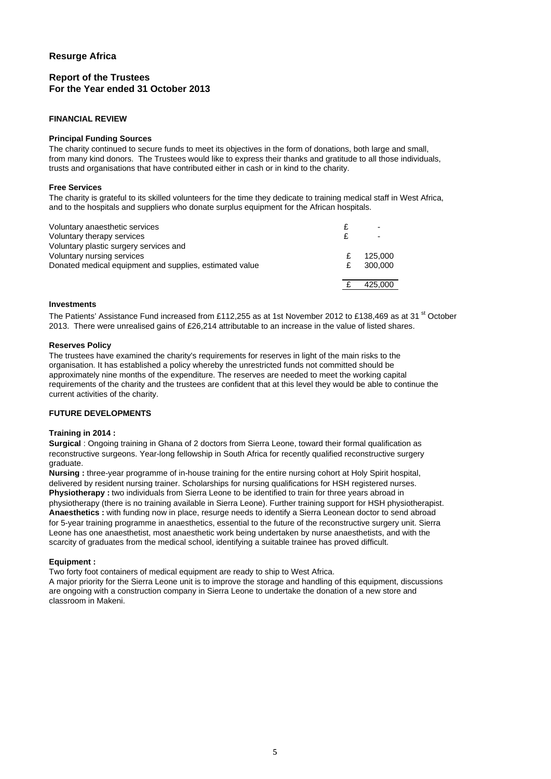### **Report of the Trustees For the Year ended 31 October 2013**

#### **FINANCIAL REVIEW**

#### **Principal Funding Sources**

The charity continued to secure funds to meet its objectives in the form of donations, both large and small, from many kind donors. The Trustees would like to express their thanks and gratitude to all those individuals, trusts and organisations that have contributed either in cash or in kind to the charity.

#### **Free Services**

The charity is grateful to its skilled volunteers for the time they dedicate to training medical staff in West Africa, and to the hospitals and suppliers who donate surplus equipment for the African hospitals.

| Voluntary anaesthetic services<br>Voluntary therapy services |   | -       |
|--------------------------------------------------------------|---|---------|
| Voluntary plastic surgery services and                       |   |         |
| Voluntary nursing services                                   |   | 125,000 |
| Donated medical equipment and supplies, estimated value      | £ | 300,000 |
|                                                              |   |         |
|                                                              |   | 425,000 |
|                                                              |   |         |

#### **Investments**

The Patients' Assistance Fund increased from £112,255 as at 1st November 2012 to £138,469 as at 31<sup>st</sup> October 2013. There were unrealised gains of £26,214 attributable to an increase in the value of listed shares.

#### **Reserves Policy**

The trustees have examined the charity's requirements for reserves in light of the main risks to the organisation. It has established a policy whereby the unrestricted funds not committed should be approximately nine months of the expenditure. The reserves are needed to meet the working capital requirements of the charity and the trustees are confident that at this level they would be able to continue the current activities of the charity.

#### **FUTURE DEVELOPMENTS**

#### **Training in 2014 :**

**Surgical** : Ongoing training in Ghana of 2 doctors from Sierra Leone, toward their formal qualification as reconstructive surgeons. Year-long fellowship in South Africa for recently qualified reconstructive surgery graduate.

**Nursing :** three-year programme of in-house training for the entire nursing cohort at Holy Spirit hospital, delivered by resident nursing trainer. Scholarships for nursing qualifications for HSH registered nurses. **Physiotherapy :** two individuals from Sierra Leone to be identified to train for three years abroad in physiotherapy (there is no training available in Sierra Leone). Further training support for HSH physiotherapist. **Anaesthetics :** with funding now in place, resurge needs to identify a Sierra Leonean doctor to send abroad for 5-year training programme in anaesthetics, essential to the future of the reconstructive surgery unit. Sierra Leone has one anaesthetist, most anaesthetic work being undertaken by nurse anaesthetists, and with the scarcity of graduates from the medical school, identifying a suitable trainee has proved difficult.

#### **Equipment :**

Two forty foot containers of medical equipment are ready to ship to West Africa.

A major priority for the Sierra Leone unit is to improve the storage and handling of this equipment, discussions are ongoing with a construction company in Sierra Leone to undertake the donation of a new store and classroom in Makeni.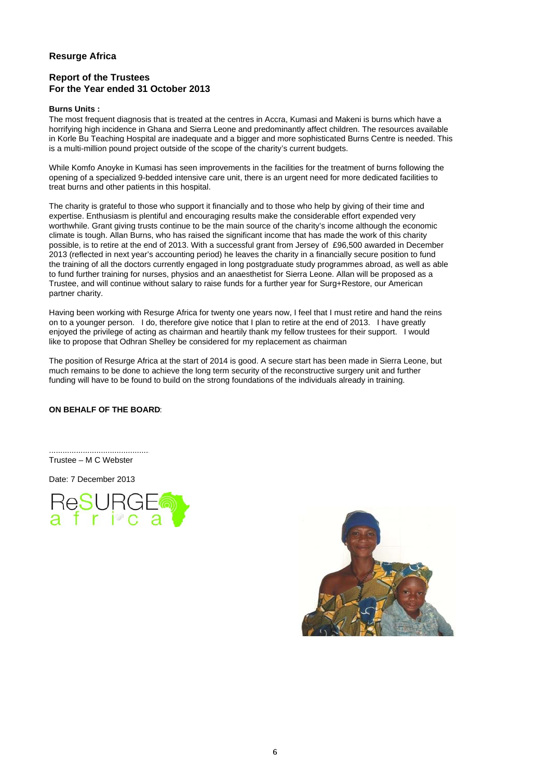### **Report of the Trustees For the Year ended 31 October 2013**

#### **Burns Units :**

The most frequent diagnosis that is treated at the centres in Accra, Kumasi and Makeni is burns which have a horrifying high incidence in Ghana and Sierra Leone and predominantly affect children. The resources available in Korle Bu Teaching Hospital are inadequate and a bigger and more sophisticated Burns Centre is needed. This is a multi-million pound project outside of the scope of the charity's current budgets.

While Komfo Anoyke in Kumasi has seen improvements in the facilities for the treatment of burns following the opening of a specialized 9-bedded intensive care unit, there is an urgent need for more dedicated facilities to treat burns and other patients in this hospital.

The charity is grateful to those who support it financially and to those who help by giving of their time and expertise. Enthusiasm is plentiful and encouraging results make the considerable effort expended very worthwhile. Grant giving trusts continue to be the main source of the charity's income although the economic climate is tough. Allan Burns, who has raised the significant income that has made the work of this charity possible, is to retire at the end of 2013. With a successful grant from Jersey of £96,500 awarded in December 2013 (reflected in next year's accounting period) he leaves the charity in a financially secure position to fund the training of all the doctors currently engaged in long postgraduate study programmes abroad, as well as able to fund further training for nurses, physios and an anaesthetist for Sierra Leone. Allan will be proposed as a Trustee, and will continue without salary to raise funds for a further year for Surg+Restore, our American partner charity.

Having been working with Resurge Africa for twenty one years now, I feel that I must retire and hand the reins on to a younger person. I do, therefore give notice that I plan to retire at the end of 2013. I have greatly enjoyed the privilege of acting as chairman and heartily thank my fellow trustees for their support. I would like to propose that Odhran Shelley be considered for my replacement as chairman

The position of Resurge Africa at the start of 2014 is good. A secure start has been made in Sierra Leone, but much remains to be done to achieve the long term security of the reconstructive surgery unit and further funding will have to be found to build on the strong foundations of the individuals already in training.

#### **ON BEHALF OF THE BOARD**:

............................................. Trustee – M C Webster

Date: 7 December 2013



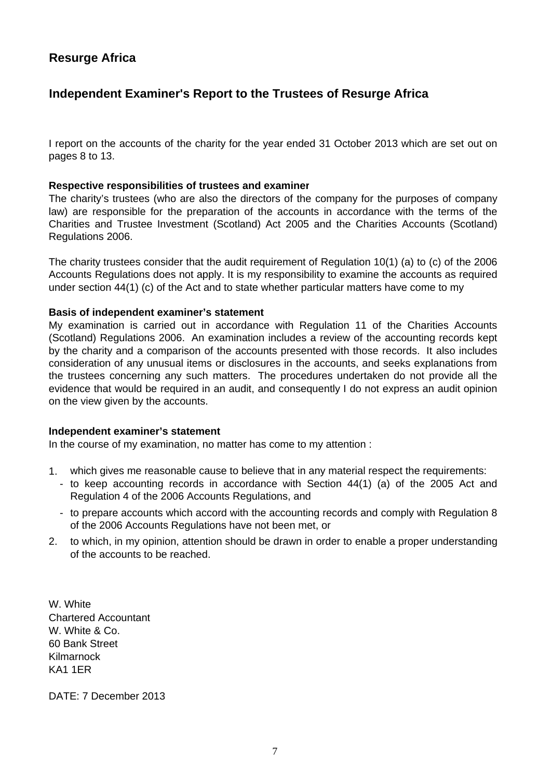# **Independent Examiner's Report to the Trustees of Resurge Africa**

I report on the accounts of the charity for the year ended 31 October 2013 which are set out on pages 8 to 13.

### **Respective responsibilities of trustees and examiner**

The charity's trustees (who are also the directors of the company for the purposes of company law) are responsible for the preparation of the accounts in accordance with the terms of the Charities and Trustee Investment (Scotland) Act 2005 and the Charities Accounts (Scotland) Regulations 2006.

The charity trustees consider that the audit requirement of Regulation 10(1) (a) to (c) of the 2006 Accounts Regulations does not apply. It is my responsibility to examine the accounts as required under section 44(1) (c) of the Act and to state whether particular matters have come to my

### **Basis of independent examiner's statement**

My examination is carried out in accordance with Regulation 11 of the Charities Accounts (Scotland) Regulations 2006. An examination includes a review of the accounting records kept by the charity and a comparison of the accounts presented with those records. It also includes consideration of any unusual items or disclosures in the accounts, and seeks explanations from the trustees concerning any such matters. The procedures undertaken do not provide all the evidence that would be required in an audit, and consequently I do not express an audit opinion on the view given by the accounts.

### **Independent examiner's statement**

In the course of my examination, no matter has come to my attention :

- 1. which gives me reasonable cause to believe that in any material respect the requirements:
	- to keep accounting records in accordance with Section 44(1) (a) of the 2005 Act and Regulation 4 of the 2006 Accounts Regulations, and
	- to prepare accounts which accord with the accounting records and comply with Regulation 8 of the 2006 Accounts Regulations have not been met, or
- 2. to which, in my opinion, attention should be drawn in order to enable a proper understanding of the accounts to be reached.

W. White Chartered Accountant W. White & Co. 60 Bank Street Kilmarnock KA1 1ER

DATE: 7 December 2013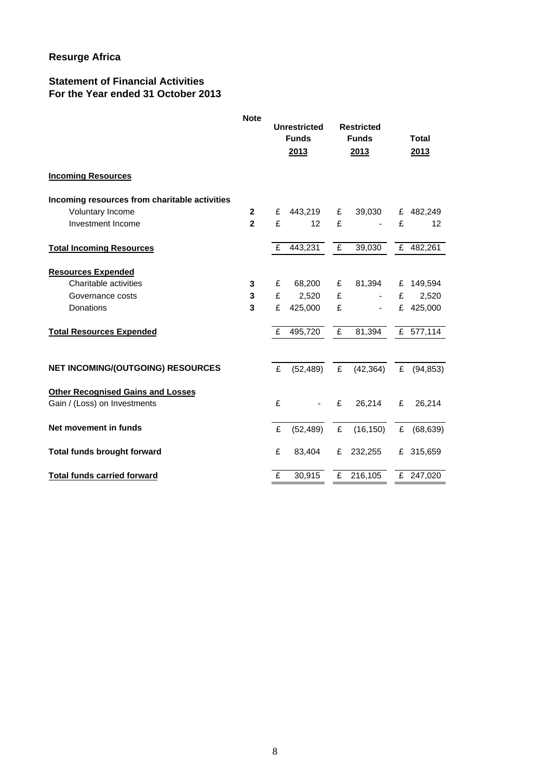## **Statement of Financial Activities For the Year ended 31 October 2013**

|                                                                          | <b>Note</b>    | <b>Unrestricted</b><br><b>Funds</b><br>2013 |                |   | <b>Restricted</b><br><b>Funds</b><br>2013 | <b>Total</b><br>2013 |           |
|--------------------------------------------------------------------------|----------------|---------------------------------------------|----------------|---|-------------------------------------------|----------------------|-----------|
| <b>Incoming Resources</b>                                                |                |                                             |                |   |                                           |                      |           |
| Incoming resources from charitable activities                            |                |                                             |                |   |                                           |                      |           |
| Voluntary Income                                                         | $\overline{2}$ | £                                           | 443,219        | £ | 39,030                                    |                      | £ 482,249 |
| Investment Income                                                        | $\mathbf{2}$   | £                                           | 12             | £ |                                           | £                    | 12        |
| <b>Total Incoming Resources</b>                                          |                | £                                           | 443,231        | £ | 39,030                                    |                      | £ 482,261 |
| <b>Resources Expended</b>                                                |                |                                             |                |   |                                           |                      |           |
| Charitable activities                                                    | 3              | £                                           | 68,200         | £ | 81,394                                    |                      | £ 149,594 |
| Governance costs                                                         | 3              | £                                           | 2,520          | £ | $\blacksquare$                            | £                    | 2,520     |
| Donations                                                                | 3              | £                                           | 425,000        | £ | $\blacksquare$                            | £                    | 425,000   |
| <b>Total Resources Expended</b>                                          |                | £                                           | 495,720        | £ | 81,394                                    |                      | £ 577,114 |
| <b>NET INCOMING/(OUTGOING) RESOURCES</b>                                 |                | £                                           | (52, 489)      | £ | (42, 364)                                 | E                    | (94, 853) |
| <b>Other Recognised Gains and Losses</b><br>Gain / (Loss) on Investments |                | £                                           | $\blacksquare$ | £ | 26,214                                    | £                    | 26,214    |
| Net movement in funds                                                    |                | £                                           | (52, 489)      | £ | (16, 150)                                 | £                    | (68, 639) |
| <b>Total funds brought forward</b>                                       |                | £                                           | 83,404         | £ | 232,255                                   |                      | £ 315,659 |
| <b>Total funds carried forward</b>                                       |                | £                                           | 30,915         | £ | 216,105                                   |                      | £ 247,020 |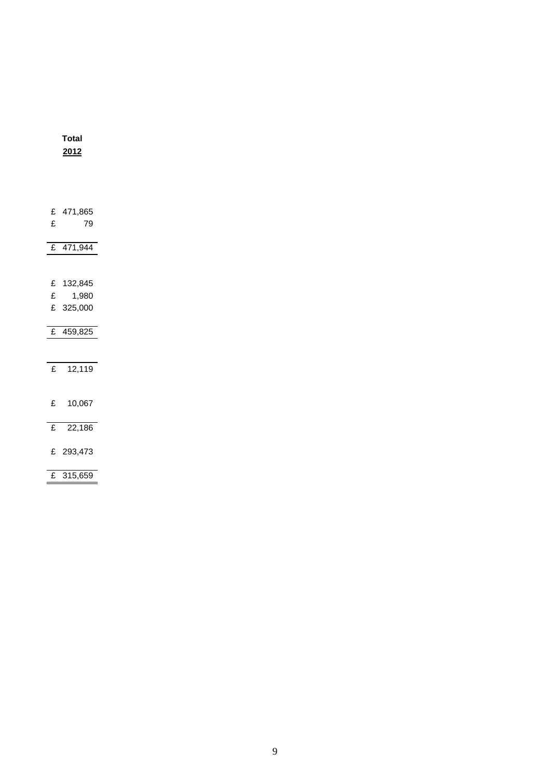|                | <u> 2012 </u>          |  |
|----------------|------------------------|--|
|                |                        |  |
|                |                        |  |
|                |                        |  |
| £              | £ 471,865<br>79        |  |
|                |                        |  |
|                | £ $471,944$            |  |
|                |                        |  |
|                | £ 132,845              |  |
| £              | 1,980                  |  |
|                | £ 325,000              |  |
|                |                        |  |
|                | $\overline{£}$ 459,825 |  |
|                |                        |  |
| £              | 12,119                 |  |
|                |                        |  |
|                | £ 10,067               |  |
|                |                        |  |
| $\mathbf f$    | 22,186                 |  |
|                | £ 293,473              |  |
|                |                        |  |
| $\overline{f}$ | 315,659                |  |

**Total**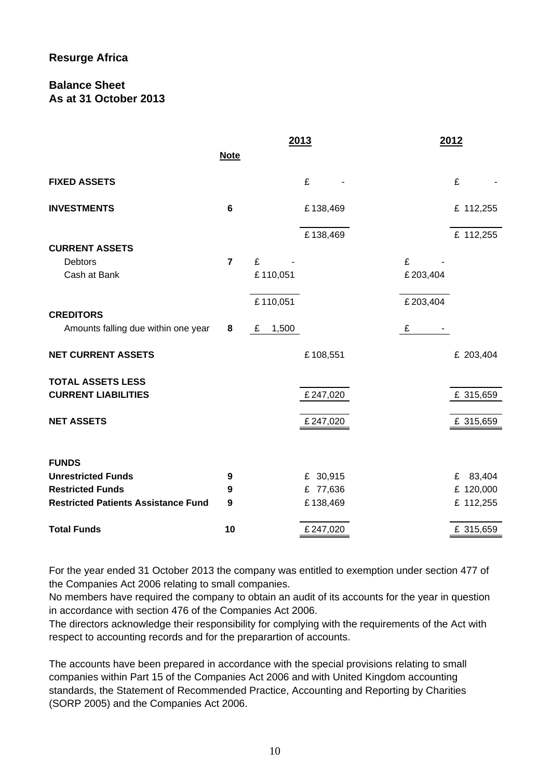## **Balance Sheet As at 31 October 2013**

|                                            |                | 2013       |          | 2012     |           |
|--------------------------------------------|----------------|------------|----------|----------|-----------|
|                                            | <b>Note</b>    |            |          |          |           |
| <b>FIXED ASSETS</b>                        |                | £          |          |          | £         |
| <b>INVESTMENTS</b>                         | 6              |            | £138,469 |          | £ 112,255 |
|                                            |                |            | £138,469 |          | £ 112,255 |
| <b>CURRENT ASSETS</b>                      |                |            |          |          |           |
| <b>Debtors</b>                             | $\overline{7}$ | £          |          | £        |           |
| Cash at Bank                               |                | £110,051   |          | £203,404 |           |
|                                            |                | £110,051   |          | £203,404 |           |
| <b>CREDITORS</b>                           |                |            |          |          |           |
| Amounts falling due within one year        | 8              | 1,500<br>£ |          | £        |           |
| <b>NET CURRENT ASSETS</b>                  |                |            | £108,551 |          | £ 203,404 |
| <b>TOTAL ASSETS LESS</b>                   |                |            |          |          |           |
| <b>CURRENT LIABILITIES</b>                 |                |            | £247,020 |          | £ 315,659 |
| <b>NET ASSETS</b>                          |                |            | £247,020 |          | £ 315,659 |
| <b>FUNDS</b>                               |                |            |          |          |           |
| <b>Unrestricted Funds</b>                  | 9              |            | £ 30,915 |          | £ 83,404  |
| <b>Restricted Funds</b>                    | 9              |            | £ 77,636 |          | £ 120,000 |
| <b>Restricted Patients Assistance Fund</b> | 9              |            | £138,469 |          | £ 112,255 |
| <b>Total Funds</b>                         | 10             |            | £247,020 |          | £ 315,659 |

For the year ended 31 October 2013 the company was entitled to exemption under section 477 of the Companies Act 2006 relating to small companies.

No members have required the company to obtain an audit of its accounts for the year in question in accordance with section 476 of the Companies Act 2006.

The directors acknowledge their responsibility for complying with the requirements of the Act with respect to accounting records and for the preparartion of accounts.

The accounts have been prepared in accordance with the special provisions relating to small companies within Part 15 of the Companies Act 2006 and with United Kingdom accounting standards, the Statement of Recommended Practice, Accounting and Reporting by Charities (SORP 2005) and the Companies Act 2006.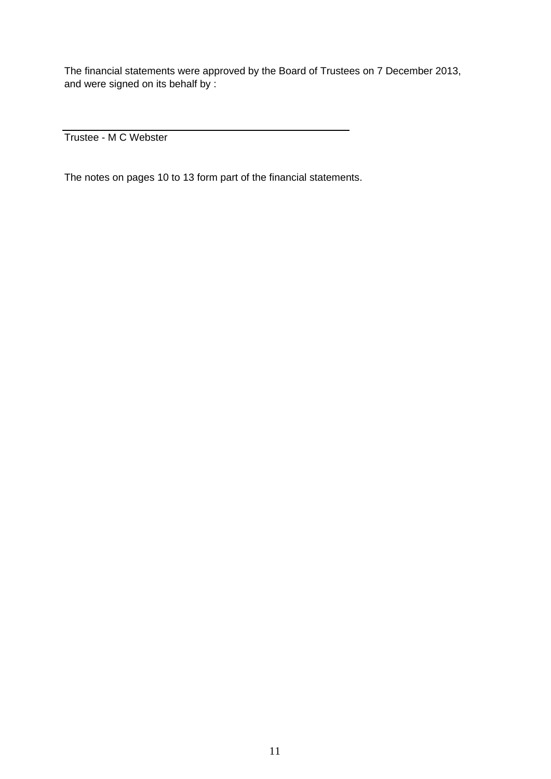The financial statements were approved by the Board of Trustees on 7 December 2013, and were signed on its behalf by :

Trustee - M C Webster

The notes on pages 10 to 13 form part of the financial statements.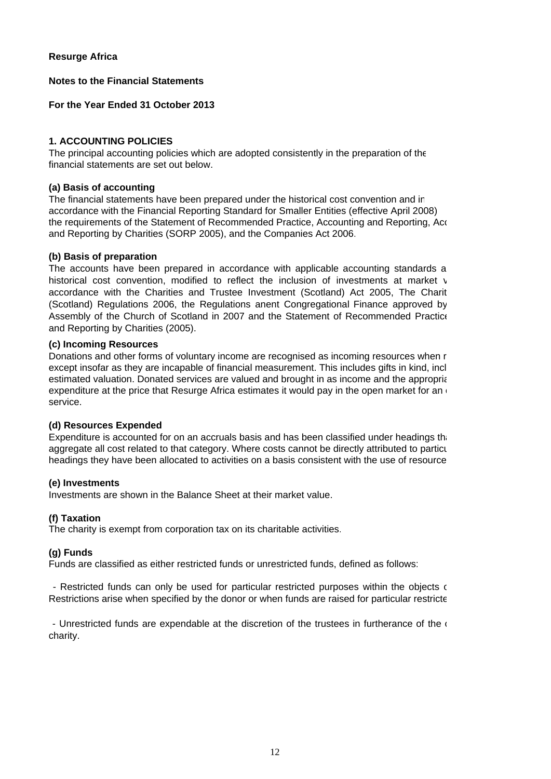### **Notes to the Financial Statements**

**For the Year Ended 31 October 2013**

### **1. ACCOUNTING POLICIES**

The principal accounting policies which are adopted consistently in the preparation of the financial statements are set out below.

### **(a) Basis of accounting**

The financial statements have been prepared under the historical cost convention and in accordance with the Financial Reporting Standard for Smaller Entities (effective April 2008), the requirements of the Statement of Recommended Practice, Accounting and Reporting, Acc and Reporting by Charities (SORP 2005), and the Companies Act 2006.

### **(b) Basis of preparation**

The accounts have been prepared in accordance with applicable accounting standards a historical cost convention, modified to reflect the inclusion of investments at market v accordance with the Charities and Trustee Investment (Scotland) Act 2005, The Charit (Scotland) Regulations 2006, the Regulations anent Congregational Finance approved by Assembly of the Church of Scotland in 2007 and the Statement of Recommended Practice and Reporting by Charities (2005).

### **(c) Incoming Resources**

Donations and other forms of voluntary income are recognised as incoming resources when r except insofar as they are incapable of financial measurement. This includes gifts in kind, incl expenditure at the price that Resurge Africa estimates it would pay in the open market for an service. estimated valuation. Donated services are valued and brought in as income and the appropria

#### **(d) Resources Expended**

Expenditure is accounted for on an accruals basis and has been classified under headings that aggregate all cost related to that category. Where costs cannot be directly attributed to particu headings they have been allocated to activities on a basis consistent with the use of resource

#### **(e) Investments**

Investments are shown in the Balance Sheet at their market value.

#### **(f) Taxation**

The charity is exempt from corporation tax on its charitable activities.

### **(g) Funds**

Funds are classified as either restricted funds or unrestricted funds, defined as follows:

- Restricted funds can only be used for particular restricted purposes within the objects of Restrictions arise when specified by the donor or when funds are raised for particular restricte

- Unrestricted funds are expendable at the discretion of the trustees in furtherance of the  $($ charity.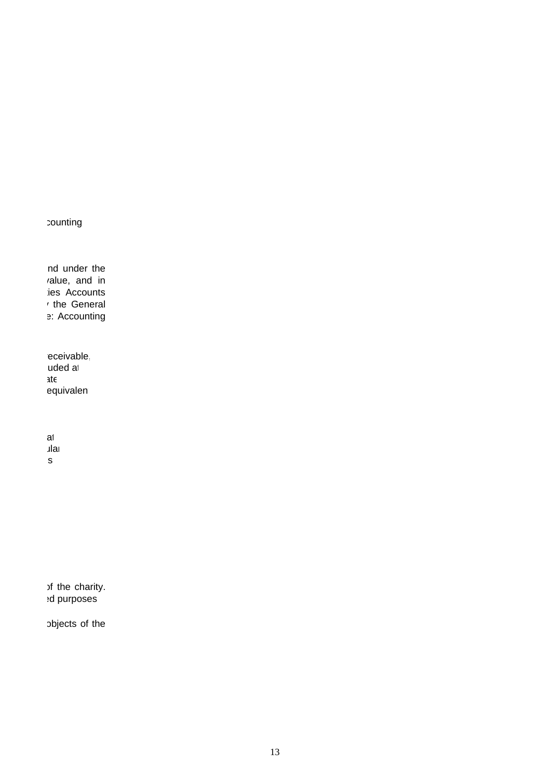counting

nd under the value, and in ties Accounts y the General e: Accounting

receivable, uded at equivalent ate

at ular es

of the charity. ed purposes

objects of the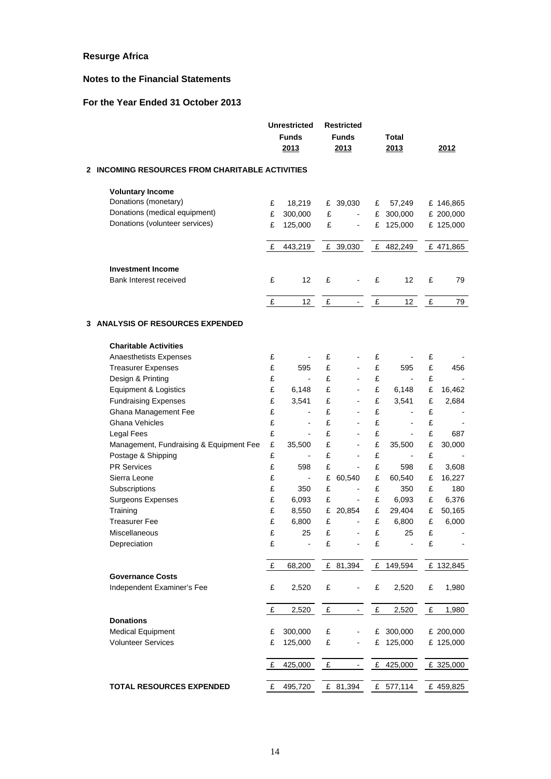### **Notes to the Financial Statements**

# **For the Year Ended 31 October 2013**

| <b>INCOMING RESOURCES FROM CHARITABLE ACTIVITIES</b><br>$\mathbf{2}$<br><b>Voluntary Income</b><br>Donations (monetary)<br>£<br>18,219<br>£ 39,030<br>57,249<br>£ 146,865<br>£<br>Donations (medical equipment)<br>£<br>300,000<br>£<br>300,000<br>£<br>£ 200,000<br>$\overline{\phantom{a}}$<br>Donations (volunteer services)<br>£<br>125,000<br>£<br>£<br>125,000<br>£ 125,000<br>$\overline{\phantom{a}}$<br>£<br>443,219<br>£ 39,030<br>£ 482,249<br>£ 471,865<br><b>Investment Income</b><br>£<br>12<br>£<br>12 <sup>2</sup><br>£<br>Bank Interest received<br>£<br>79<br>£<br>12<br>£<br>£<br>12 <sub>2</sub><br>£<br>79<br>$\overline{\phantom{a}}$<br>3 ANALYSIS OF RESOURCES EXPENDED<br><b>Charitable Activities</b><br>£<br>£<br>£<br>£<br>Anaesthetists Expenses<br>£<br>£<br>£<br>595<br>£<br><b>Treasurer Expenses</b><br>595<br>456<br>$\overline{a}$<br>£<br>£<br>£<br>£<br>Design & Printing<br>$\blacksquare$<br>$\blacksquare$<br>$\blacksquare$<br>£<br>£<br>£<br><b>Equipment &amp; Logistics</b><br>6,148<br>6,148<br>£<br>16,462<br>$\blacksquare$<br>£<br>£<br><b>Fundraising Expenses</b><br>3,541<br>£<br>3,541<br>£<br>2,684<br>$\blacksquare$<br>£<br>£<br>£<br>Ghana Management Fee<br>£<br>$\blacksquare$<br>£<br>£<br>£<br>£<br><b>Ghana Vehicles</b><br>$\blacksquare$<br>$\overline{a}$<br>£<br>£<br>£<br>£<br>Legal Fees<br>687<br>$\blacksquare$<br>£<br>£<br>£<br>£<br>Management, Fundraising & Equipment Fee<br>35,500<br>35,500<br>30,000<br>$\overline{\phantom{a}}$<br>£<br>£<br>Postage & Shipping<br>£<br>£<br>$\overline{\phantom{a}}$<br>$\frac{1}{2}$<br><b>PR Services</b><br>£<br>£<br>598<br>£<br>598<br>£<br>3,608<br>$\blacksquare$<br>Sierra Leone<br>£<br>£<br>£<br>60,540<br>16,227<br>60,540<br>£<br>$\overline{\phantom{a}}$<br>Subscriptions<br>£<br>350<br>£<br>£<br>350<br>£<br>180<br>$\frac{1}{2}$<br>Surgeons Expenses<br>£<br>6,093<br>£<br>£<br>6,093<br>6,376<br>£<br>$\overline{\phantom{a}}$<br>£<br>8,550<br>29,404<br>Training<br>£<br>20,854<br>£<br>£<br>50,165<br><b>Treasurer Fee</b><br>£<br>6,800<br>£<br>£<br>6,800<br>6,000<br>£<br>$\blacksquare$<br>£<br>£<br>£<br>£<br>25<br>25<br>Miscellaneous<br>$\sim$<br>£<br>£<br>£<br>Depreciation<br>£<br>$\overline{\phantom{a}}$<br>$\overline{\phantom{a}}$<br>$\overline{\phantom{0}}$<br>£ 149,594<br>£<br>£ 81,394<br>£ 132,845<br>68,200<br><b>Governance Costs</b><br>Independent Examiner's Fee<br>£<br>2,520<br>£<br>£<br>2,520<br>£<br>1,980<br>$\overline{\phantom{a}}$<br>£<br>2,520<br>£<br>£<br>2,520<br>£<br>1,980<br>$\blacksquare$<br><b>Donations</b><br><b>Medical Equipment</b><br>300,000<br>£ 300,000<br>£ 200,000<br>£<br>£<br>$\overline{\phantom{a}}$<br><b>Volunteer Services</b><br>£<br>125,000<br>£<br>£<br>125,000<br>£ 125,000<br>£<br>£<br>£<br>425,000<br>£ 325,000<br>425,000<br><b>TOTAL RESOURCES EXPENDED</b><br>£<br>£ 577,114<br>495,720<br>£ 81,394<br>£459,825 |  | <b>Unrestricted</b><br><b>Funds</b><br>2013 | <b>Restricted</b><br><b>Funds</b><br>2013 | Total<br>2013 | 2012 |
|-----------------------------------------------------------------------------------------------------------------------------------------------------------------------------------------------------------------------------------------------------------------------------------------------------------------------------------------------------------------------------------------------------------------------------------------------------------------------------------------------------------------------------------------------------------------------------------------------------------------------------------------------------------------------------------------------------------------------------------------------------------------------------------------------------------------------------------------------------------------------------------------------------------------------------------------------------------------------------------------------------------------------------------------------------------------------------------------------------------------------------------------------------------------------------------------------------------------------------------------------------------------------------------------------------------------------------------------------------------------------------------------------------------------------------------------------------------------------------------------------------------------------------------------------------------------------------------------------------------------------------------------------------------------------------------------------------------------------------------------------------------------------------------------------------------------------------------------------------------------------------------------------------------------------------------------------------------------------------------------------------------------------------------------------------------------------------------------------------------------------------------------------------------------------------------------------------------------------------------------------------------------------------------------------------------------------------------------------------------------------------------------------------------------------------------------------------------------------------------------------------------------------------------------------------------------------------------------------------------------------------------------------------------------------------------------------------------------------------------------------------------------------------------------------------------------------------------------------------------------------------------------------------------------------------------|--|---------------------------------------------|-------------------------------------------|---------------|------|
|                                                                                                                                                                                                                                                                                                                                                                                                                                                                                                                                                                                                                                                                                                                                                                                                                                                                                                                                                                                                                                                                                                                                                                                                                                                                                                                                                                                                                                                                                                                                                                                                                                                                                                                                                                                                                                                                                                                                                                                                                                                                                                                                                                                                                                                                                                                                                                                                                                                                                                                                                                                                                                                                                                                                                                                                                                                                                                                                   |  |                                             |                                           |               |      |
|                                                                                                                                                                                                                                                                                                                                                                                                                                                                                                                                                                                                                                                                                                                                                                                                                                                                                                                                                                                                                                                                                                                                                                                                                                                                                                                                                                                                                                                                                                                                                                                                                                                                                                                                                                                                                                                                                                                                                                                                                                                                                                                                                                                                                                                                                                                                                                                                                                                                                                                                                                                                                                                                                                                                                                                                                                                                                                                                   |  |                                             |                                           |               |      |
|                                                                                                                                                                                                                                                                                                                                                                                                                                                                                                                                                                                                                                                                                                                                                                                                                                                                                                                                                                                                                                                                                                                                                                                                                                                                                                                                                                                                                                                                                                                                                                                                                                                                                                                                                                                                                                                                                                                                                                                                                                                                                                                                                                                                                                                                                                                                                                                                                                                                                                                                                                                                                                                                                                                                                                                                                                                                                                                                   |  |                                             |                                           |               |      |
|                                                                                                                                                                                                                                                                                                                                                                                                                                                                                                                                                                                                                                                                                                                                                                                                                                                                                                                                                                                                                                                                                                                                                                                                                                                                                                                                                                                                                                                                                                                                                                                                                                                                                                                                                                                                                                                                                                                                                                                                                                                                                                                                                                                                                                                                                                                                                                                                                                                                                                                                                                                                                                                                                                                                                                                                                                                                                                                                   |  |                                             |                                           |               |      |
|                                                                                                                                                                                                                                                                                                                                                                                                                                                                                                                                                                                                                                                                                                                                                                                                                                                                                                                                                                                                                                                                                                                                                                                                                                                                                                                                                                                                                                                                                                                                                                                                                                                                                                                                                                                                                                                                                                                                                                                                                                                                                                                                                                                                                                                                                                                                                                                                                                                                                                                                                                                                                                                                                                                                                                                                                                                                                                                                   |  |                                             |                                           |               |      |
|                                                                                                                                                                                                                                                                                                                                                                                                                                                                                                                                                                                                                                                                                                                                                                                                                                                                                                                                                                                                                                                                                                                                                                                                                                                                                                                                                                                                                                                                                                                                                                                                                                                                                                                                                                                                                                                                                                                                                                                                                                                                                                                                                                                                                                                                                                                                                                                                                                                                                                                                                                                                                                                                                                                                                                                                                                                                                                                                   |  |                                             |                                           |               |      |
|                                                                                                                                                                                                                                                                                                                                                                                                                                                                                                                                                                                                                                                                                                                                                                                                                                                                                                                                                                                                                                                                                                                                                                                                                                                                                                                                                                                                                                                                                                                                                                                                                                                                                                                                                                                                                                                                                                                                                                                                                                                                                                                                                                                                                                                                                                                                                                                                                                                                                                                                                                                                                                                                                                                                                                                                                                                                                                                                   |  |                                             |                                           |               |      |
|                                                                                                                                                                                                                                                                                                                                                                                                                                                                                                                                                                                                                                                                                                                                                                                                                                                                                                                                                                                                                                                                                                                                                                                                                                                                                                                                                                                                                                                                                                                                                                                                                                                                                                                                                                                                                                                                                                                                                                                                                                                                                                                                                                                                                                                                                                                                                                                                                                                                                                                                                                                                                                                                                                                                                                                                                                                                                                                                   |  |                                             |                                           |               |      |
|                                                                                                                                                                                                                                                                                                                                                                                                                                                                                                                                                                                                                                                                                                                                                                                                                                                                                                                                                                                                                                                                                                                                                                                                                                                                                                                                                                                                                                                                                                                                                                                                                                                                                                                                                                                                                                                                                                                                                                                                                                                                                                                                                                                                                                                                                                                                                                                                                                                                                                                                                                                                                                                                                                                                                                                                                                                                                                                                   |  |                                             |                                           |               |      |
|                                                                                                                                                                                                                                                                                                                                                                                                                                                                                                                                                                                                                                                                                                                                                                                                                                                                                                                                                                                                                                                                                                                                                                                                                                                                                                                                                                                                                                                                                                                                                                                                                                                                                                                                                                                                                                                                                                                                                                                                                                                                                                                                                                                                                                                                                                                                                                                                                                                                                                                                                                                                                                                                                                                                                                                                                                                                                                                                   |  |                                             |                                           |               |      |
|                                                                                                                                                                                                                                                                                                                                                                                                                                                                                                                                                                                                                                                                                                                                                                                                                                                                                                                                                                                                                                                                                                                                                                                                                                                                                                                                                                                                                                                                                                                                                                                                                                                                                                                                                                                                                                                                                                                                                                                                                                                                                                                                                                                                                                                                                                                                                                                                                                                                                                                                                                                                                                                                                                                                                                                                                                                                                                                                   |  |                                             |                                           |               |      |
|                                                                                                                                                                                                                                                                                                                                                                                                                                                                                                                                                                                                                                                                                                                                                                                                                                                                                                                                                                                                                                                                                                                                                                                                                                                                                                                                                                                                                                                                                                                                                                                                                                                                                                                                                                                                                                                                                                                                                                                                                                                                                                                                                                                                                                                                                                                                                                                                                                                                                                                                                                                                                                                                                                                                                                                                                                                                                                                                   |  |                                             |                                           |               |      |
|                                                                                                                                                                                                                                                                                                                                                                                                                                                                                                                                                                                                                                                                                                                                                                                                                                                                                                                                                                                                                                                                                                                                                                                                                                                                                                                                                                                                                                                                                                                                                                                                                                                                                                                                                                                                                                                                                                                                                                                                                                                                                                                                                                                                                                                                                                                                                                                                                                                                                                                                                                                                                                                                                                                                                                                                                                                                                                                                   |  |                                             |                                           |               |      |
|                                                                                                                                                                                                                                                                                                                                                                                                                                                                                                                                                                                                                                                                                                                                                                                                                                                                                                                                                                                                                                                                                                                                                                                                                                                                                                                                                                                                                                                                                                                                                                                                                                                                                                                                                                                                                                                                                                                                                                                                                                                                                                                                                                                                                                                                                                                                                                                                                                                                                                                                                                                                                                                                                                                                                                                                                                                                                                                                   |  |                                             |                                           |               |      |
|                                                                                                                                                                                                                                                                                                                                                                                                                                                                                                                                                                                                                                                                                                                                                                                                                                                                                                                                                                                                                                                                                                                                                                                                                                                                                                                                                                                                                                                                                                                                                                                                                                                                                                                                                                                                                                                                                                                                                                                                                                                                                                                                                                                                                                                                                                                                                                                                                                                                                                                                                                                                                                                                                                                                                                                                                                                                                                                                   |  |                                             |                                           |               |      |
|                                                                                                                                                                                                                                                                                                                                                                                                                                                                                                                                                                                                                                                                                                                                                                                                                                                                                                                                                                                                                                                                                                                                                                                                                                                                                                                                                                                                                                                                                                                                                                                                                                                                                                                                                                                                                                                                                                                                                                                                                                                                                                                                                                                                                                                                                                                                                                                                                                                                                                                                                                                                                                                                                                                                                                                                                                                                                                                                   |  |                                             |                                           |               |      |
|                                                                                                                                                                                                                                                                                                                                                                                                                                                                                                                                                                                                                                                                                                                                                                                                                                                                                                                                                                                                                                                                                                                                                                                                                                                                                                                                                                                                                                                                                                                                                                                                                                                                                                                                                                                                                                                                                                                                                                                                                                                                                                                                                                                                                                                                                                                                                                                                                                                                                                                                                                                                                                                                                                                                                                                                                                                                                                                                   |  |                                             |                                           |               |      |
|                                                                                                                                                                                                                                                                                                                                                                                                                                                                                                                                                                                                                                                                                                                                                                                                                                                                                                                                                                                                                                                                                                                                                                                                                                                                                                                                                                                                                                                                                                                                                                                                                                                                                                                                                                                                                                                                                                                                                                                                                                                                                                                                                                                                                                                                                                                                                                                                                                                                                                                                                                                                                                                                                                                                                                                                                                                                                                                                   |  |                                             |                                           |               |      |
|                                                                                                                                                                                                                                                                                                                                                                                                                                                                                                                                                                                                                                                                                                                                                                                                                                                                                                                                                                                                                                                                                                                                                                                                                                                                                                                                                                                                                                                                                                                                                                                                                                                                                                                                                                                                                                                                                                                                                                                                                                                                                                                                                                                                                                                                                                                                                                                                                                                                                                                                                                                                                                                                                                                                                                                                                                                                                                                                   |  |                                             |                                           |               |      |
|                                                                                                                                                                                                                                                                                                                                                                                                                                                                                                                                                                                                                                                                                                                                                                                                                                                                                                                                                                                                                                                                                                                                                                                                                                                                                                                                                                                                                                                                                                                                                                                                                                                                                                                                                                                                                                                                                                                                                                                                                                                                                                                                                                                                                                                                                                                                                                                                                                                                                                                                                                                                                                                                                                                                                                                                                                                                                                                                   |  |                                             |                                           |               |      |
|                                                                                                                                                                                                                                                                                                                                                                                                                                                                                                                                                                                                                                                                                                                                                                                                                                                                                                                                                                                                                                                                                                                                                                                                                                                                                                                                                                                                                                                                                                                                                                                                                                                                                                                                                                                                                                                                                                                                                                                                                                                                                                                                                                                                                                                                                                                                                                                                                                                                                                                                                                                                                                                                                                                                                                                                                                                                                                                                   |  |                                             |                                           |               |      |
|                                                                                                                                                                                                                                                                                                                                                                                                                                                                                                                                                                                                                                                                                                                                                                                                                                                                                                                                                                                                                                                                                                                                                                                                                                                                                                                                                                                                                                                                                                                                                                                                                                                                                                                                                                                                                                                                                                                                                                                                                                                                                                                                                                                                                                                                                                                                                                                                                                                                                                                                                                                                                                                                                                                                                                                                                                                                                                                                   |  |                                             |                                           |               |      |
|                                                                                                                                                                                                                                                                                                                                                                                                                                                                                                                                                                                                                                                                                                                                                                                                                                                                                                                                                                                                                                                                                                                                                                                                                                                                                                                                                                                                                                                                                                                                                                                                                                                                                                                                                                                                                                                                                                                                                                                                                                                                                                                                                                                                                                                                                                                                                                                                                                                                                                                                                                                                                                                                                                                                                                                                                                                                                                                                   |  |                                             |                                           |               |      |
|                                                                                                                                                                                                                                                                                                                                                                                                                                                                                                                                                                                                                                                                                                                                                                                                                                                                                                                                                                                                                                                                                                                                                                                                                                                                                                                                                                                                                                                                                                                                                                                                                                                                                                                                                                                                                                                                                                                                                                                                                                                                                                                                                                                                                                                                                                                                                                                                                                                                                                                                                                                                                                                                                                                                                                                                                                                                                                                                   |  |                                             |                                           |               |      |
|                                                                                                                                                                                                                                                                                                                                                                                                                                                                                                                                                                                                                                                                                                                                                                                                                                                                                                                                                                                                                                                                                                                                                                                                                                                                                                                                                                                                                                                                                                                                                                                                                                                                                                                                                                                                                                                                                                                                                                                                                                                                                                                                                                                                                                                                                                                                                                                                                                                                                                                                                                                                                                                                                                                                                                                                                                                                                                                                   |  |                                             |                                           |               |      |
|                                                                                                                                                                                                                                                                                                                                                                                                                                                                                                                                                                                                                                                                                                                                                                                                                                                                                                                                                                                                                                                                                                                                                                                                                                                                                                                                                                                                                                                                                                                                                                                                                                                                                                                                                                                                                                                                                                                                                                                                                                                                                                                                                                                                                                                                                                                                                                                                                                                                                                                                                                                                                                                                                                                                                                                                                                                                                                                                   |  |                                             |                                           |               |      |
|                                                                                                                                                                                                                                                                                                                                                                                                                                                                                                                                                                                                                                                                                                                                                                                                                                                                                                                                                                                                                                                                                                                                                                                                                                                                                                                                                                                                                                                                                                                                                                                                                                                                                                                                                                                                                                                                                                                                                                                                                                                                                                                                                                                                                                                                                                                                                                                                                                                                                                                                                                                                                                                                                                                                                                                                                                                                                                                                   |  |                                             |                                           |               |      |
|                                                                                                                                                                                                                                                                                                                                                                                                                                                                                                                                                                                                                                                                                                                                                                                                                                                                                                                                                                                                                                                                                                                                                                                                                                                                                                                                                                                                                                                                                                                                                                                                                                                                                                                                                                                                                                                                                                                                                                                                                                                                                                                                                                                                                                                                                                                                                                                                                                                                                                                                                                                                                                                                                                                                                                                                                                                                                                                                   |  |                                             |                                           |               |      |
|                                                                                                                                                                                                                                                                                                                                                                                                                                                                                                                                                                                                                                                                                                                                                                                                                                                                                                                                                                                                                                                                                                                                                                                                                                                                                                                                                                                                                                                                                                                                                                                                                                                                                                                                                                                                                                                                                                                                                                                                                                                                                                                                                                                                                                                                                                                                                                                                                                                                                                                                                                                                                                                                                                                                                                                                                                                                                                                                   |  |                                             |                                           |               |      |
|                                                                                                                                                                                                                                                                                                                                                                                                                                                                                                                                                                                                                                                                                                                                                                                                                                                                                                                                                                                                                                                                                                                                                                                                                                                                                                                                                                                                                                                                                                                                                                                                                                                                                                                                                                                                                                                                                                                                                                                                                                                                                                                                                                                                                                                                                                                                                                                                                                                                                                                                                                                                                                                                                                                                                                                                                                                                                                                                   |  |                                             |                                           |               |      |
|                                                                                                                                                                                                                                                                                                                                                                                                                                                                                                                                                                                                                                                                                                                                                                                                                                                                                                                                                                                                                                                                                                                                                                                                                                                                                                                                                                                                                                                                                                                                                                                                                                                                                                                                                                                                                                                                                                                                                                                                                                                                                                                                                                                                                                                                                                                                                                                                                                                                                                                                                                                                                                                                                                                                                                                                                                                                                                                                   |  |                                             |                                           |               |      |
|                                                                                                                                                                                                                                                                                                                                                                                                                                                                                                                                                                                                                                                                                                                                                                                                                                                                                                                                                                                                                                                                                                                                                                                                                                                                                                                                                                                                                                                                                                                                                                                                                                                                                                                                                                                                                                                                                                                                                                                                                                                                                                                                                                                                                                                                                                                                                                                                                                                                                                                                                                                                                                                                                                                                                                                                                                                                                                                                   |  |                                             |                                           |               |      |
|                                                                                                                                                                                                                                                                                                                                                                                                                                                                                                                                                                                                                                                                                                                                                                                                                                                                                                                                                                                                                                                                                                                                                                                                                                                                                                                                                                                                                                                                                                                                                                                                                                                                                                                                                                                                                                                                                                                                                                                                                                                                                                                                                                                                                                                                                                                                                                                                                                                                                                                                                                                                                                                                                                                                                                                                                                                                                                                                   |  |                                             |                                           |               |      |
|                                                                                                                                                                                                                                                                                                                                                                                                                                                                                                                                                                                                                                                                                                                                                                                                                                                                                                                                                                                                                                                                                                                                                                                                                                                                                                                                                                                                                                                                                                                                                                                                                                                                                                                                                                                                                                                                                                                                                                                                                                                                                                                                                                                                                                                                                                                                                                                                                                                                                                                                                                                                                                                                                                                                                                                                                                                                                                                                   |  |                                             |                                           |               |      |
|                                                                                                                                                                                                                                                                                                                                                                                                                                                                                                                                                                                                                                                                                                                                                                                                                                                                                                                                                                                                                                                                                                                                                                                                                                                                                                                                                                                                                                                                                                                                                                                                                                                                                                                                                                                                                                                                                                                                                                                                                                                                                                                                                                                                                                                                                                                                                                                                                                                                                                                                                                                                                                                                                                                                                                                                                                                                                                                                   |  |                                             |                                           |               |      |
|                                                                                                                                                                                                                                                                                                                                                                                                                                                                                                                                                                                                                                                                                                                                                                                                                                                                                                                                                                                                                                                                                                                                                                                                                                                                                                                                                                                                                                                                                                                                                                                                                                                                                                                                                                                                                                                                                                                                                                                                                                                                                                                                                                                                                                                                                                                                                                                                                                                                                                                                                                                                                                                                                                                                                                                                                                                                                                                                   |  |                                             |                                           |               |      |
|                                                                                                                                                                                                                                                                                                                                                                                                                                                                                                                                                                                                                                                                                                                                                                                                                                                                                                                                                                                                                                                                                                                                                                                                                                                                                                                                                                                                                                                                                                                                                                                                                                                                                                                                                                                                                                                                                                                                                                                                                                                                                                                                                                                                                                                                                                                                                                                                                                                                                                                                                                                                                                                                                                                                                                                                                                                                                                                                   |  |                                             |                                           |               |      |
|                                                                                                                                                                                                                                                                                                                                                                                                                                                                                                                                                                                                                                                                                                                                                                                                                                                                                                                                                                                                                                                                                                                                                                                                                                                                                                                                                                                                                                                                                                                                                                                                                                                                                                                                                                                                                                                                                                                                                                                                                                                                                                                                                                                                                                                                                                                                                                                                                                                                                                                                                                                                                                                                                                                                                                                                                                                                                                                                   |  |                                             |                                           |               |      |
|                                                                                                                                                                                                                                                                                                                                                                                                                                                                                                                                                                                                                                                                                                                                                                                                                                                                                                                                                                                                                                                                                                                                                                                                                                                                                                                                                                                                                                                                                                                                                                                                                                                                                                                                                                                                                                                                                                                                                                                                                                                                                                                                                                                                                                                                                                                                                                                                                                                                                                                                                                                                                                                                                                                                                                                                                                                                                                                                   |  |                                             |                                           |               |      |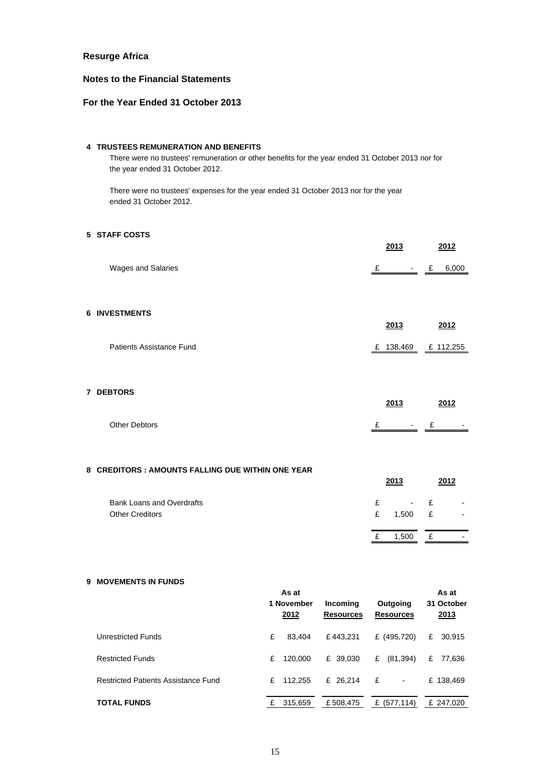### **Notes to the Financial Statements**

### **For the Year Ended 31 October 2013**

#### **4 TRUSTEES REMUNERATION AND BENEFITS**

There were no trustees' remuneration or other benefits for the year ended 31 October 2013 nor for the year ended 31 October 2012.

There were no trustees' expenses for the year ended 31 October 2013 nor for the year ended 31 October 2012.

### **5 STAFF COSTS**

**7**

|                                                   |   | 2013<br>2012           |
|---------------------------------------------------|---|------------------------|
| Wages and Salaries                                | £ | 6,000<br>$-$ £         |
| <b>6 INVESTMENTS</b>                              |   | 2013<br>2012           |
| Patients Assistance Fund                          |   | £ 138,469<br>£ 112,255 |
| <b>7 DEBTORS</b>                                  |   |                        |
| <b>Other Debtors</b>                              | £ | 2013<br>2012<br>$-$ £  |
| 8 CREDITORS : AMOUNTS FALLING DUE WITHIN ONE YEAR |   |                        |
|                                                   |   | 2013<br>2012           |
| <b>Bank Loans and Overdrafts</b>                  | £ | £                      |
| <b>Other Creditors</b>                            | £ | £<br>1,500             |
|                                                   | £ | 1,500<br>£             |

#### **9 MOVEMENTS IN FUNDS**

|                                     |   | As at<br>1 November<br>2012 | Incoming<br><b>Resources</b> | Outgoing<br><b>Resources</b> | As at<br>31 October<br>2013 |
|-------------------------------------|---|-----------------------------|------------------------------|------------------------------|-----------------------------|
| Unrestricted Funds                  | £ | 83.404                      | £443.231                     | £ (495,720)                  | £<br>30,915                 |
| <b>Restricted Funds</b>             | £ | 120,000                     | £ 39,030                     | £<br>(81, 394)               | £<br>77,636                 |
| Restricted Patients Assistance Fund | £ | 112.255                     | £ 26.214                     | £<br>$\blacksquare$          | £ 138,469                   |
| <b>TOTAL FUNDS</b>                  | £ | 315,659                     | £508,475                     | £ $(577, 114)$               | £ 247,020                   |